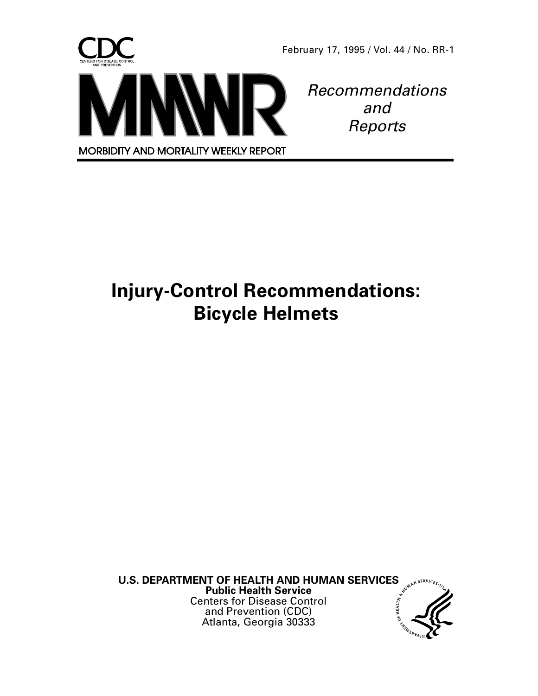

Recommendations and Reports

# **Injury-Control Recommendations: Bicycle Helmets**

**U.S. DEPARTMENT OF HEALTH AND HUMAN SERVICES**<br>Public Health Service<br>Centers for Disease Carrice **Public Health Service** Centers for Disease Control and Prevention (CDC) Atlanta, Georgia 30333

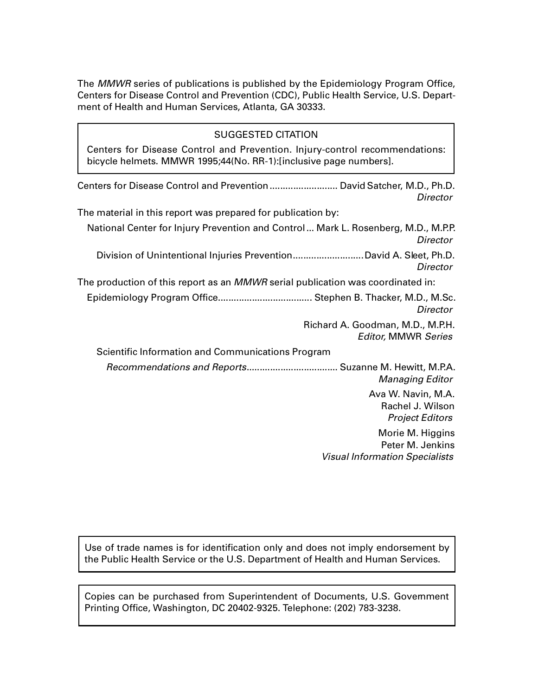The MMWR series of publications is published by the Epidemiology Program Office, Centers for Disease Control and Prevention (CDC), Public Health Service, U.S. Department of Health and Human Services, Atlanta, GA 30333.

### SUGGESTED CITATION

Centers for Disease Control and Prevention. Injury-control recommendations: bicycle helmets. MMWR 1995;44(No. RR-1):[inclusive page numbers].

| Centers for Disease Control and Prevention  David Satcher, M.D., Ph.D.<br>Director            |
|-----------------------------------------------------------------------------------------------|
| The material in this report was prepared for publication by:                                  |
| National Center for Injury Prevention and Control Mark L. Rosenberg, M.D., M.P.P.<br>Director |
| Division of Unintentional Injuries PreventionDavid A. Sleet, Ph.D.<br>Director                |
| The production of this report as an <i>MMWR</i> serial publication was coordinated in:        |
| Director                                                                                      |
| Richard A. Goodman, M.D., M.P.H.<br><b>Editor, MMWR Series</b>                                |
| Scientific Information and Communications Program                                             |
| Recommendations and Reports Suzanne M. Hewitt, M.P.A.<br><b>Managing Editor</b>               |
| Ava W. Navin, M.A.<br>Rachel J. Wilson<br><b>Project Editors</b>                              |
| Morie M. Higgins<br>Peter M. Jenkins<br><b>Visual Information Specialists</b>                 |

Use of trade names is for identification only and does not imply endorsement by the Public Health Service or the U.S. Department of Health and Human Services.

Copies can be purchased from Superintendent of Documents, U.S. Government Printing Office, Washington, DC 20402-9325. Telephone: (202) 783-3238.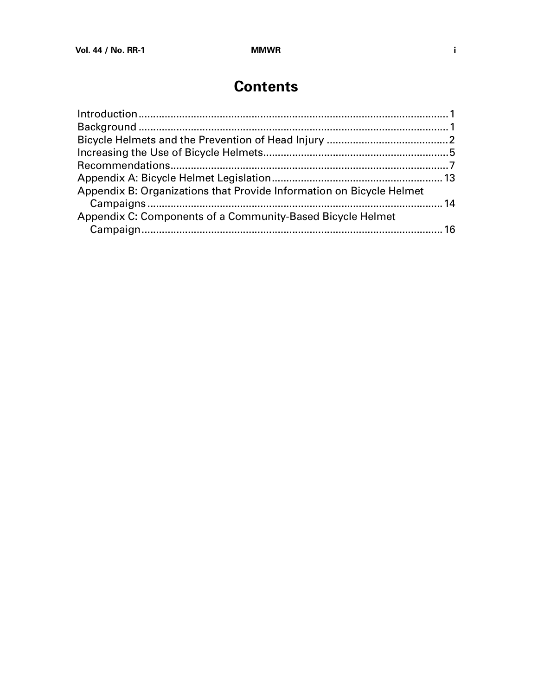# **Contents**

| Appendix B: Organizations that Provide Information on Bicycle Helmet |  |
|----------------------------------------------------------------------|--|
|                                                                      |  |
| Appendix C: Components of a Community-Based Bicycle Helmet           |  |
|                                                                      |  |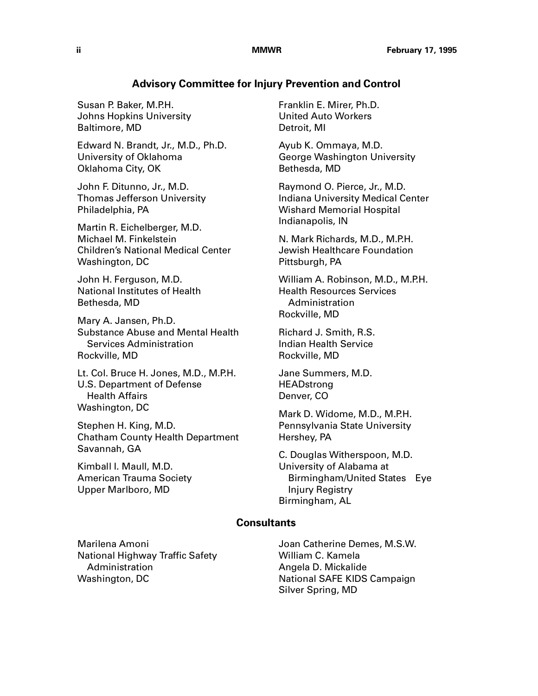### **Advisory Committee for Injury Prevention and Control**

Susan P. Baker, M.P.H. Johns Hopkins University Baltimore, MD

Edward N. Brandt, Jr., M.D., Ph.D. University of Oklahoma Oklahoma City, OK

John F. Ditunno, Jr., M.D. Thomas Jefferson University Philadelphia, PA

Martin R. Eichelberger, M.D. Michael M. Finkelstein Children's National Medical Center Washington, DC

John H. Ferguson, M.D. National Institutes of Health Bethesda, MD

Mary A. Jansen, Ph.D. Substance Abuse and Mental Health Services Administration Rockville, MD

Lt. Col. Bruce H. Jones, M.D., M.P.H. U.S. Department of Defense Health Affairs Washington, DC

Stephen H. King, M.D. Chatham County Health Department Savannah, GA

Kimball I. Maull, M.D. American Trauma Society Upper Marlboro, MD

Franklin E. Mirer, Ph.D. United Auto Workers Detroit, MI

Ayub K. Ommaya, M.D. George Washington University Bethesda, MD

Raymond O. Pierce, Jr., M.D. Indiana University Medical Center Wishard Memorial Hospital Indianapolis, IN

N. Mark Richards, M.D., M.P.H. Jewish Healthcare Foundation Pittsburgh, PA

William A. Robinson, M.D., M.P.H. Health Resources Services Administration Rockville, MD

Richard J. Smith, R.S. Indian Health Service Rockville, MD

Jane Summers, M.D. **HEADstrong** Denver, CO

Mark D. Widome, M.D., M.P.H. Pennsylvania State University Hershey, PA

C. Douglas Witherspoon, M.D. University of Alabama at Birmingham/United States Eye Injury Registry Birmingham, AL

### **Consultants**

Marilena Amoni National Highway Traffic Safety Administration Washington, DC

Joan Catherine Demes, M.S.W. William C. Kamela Angela D. Mickalide National SAFE KIDS Campaign Silver Spring, MD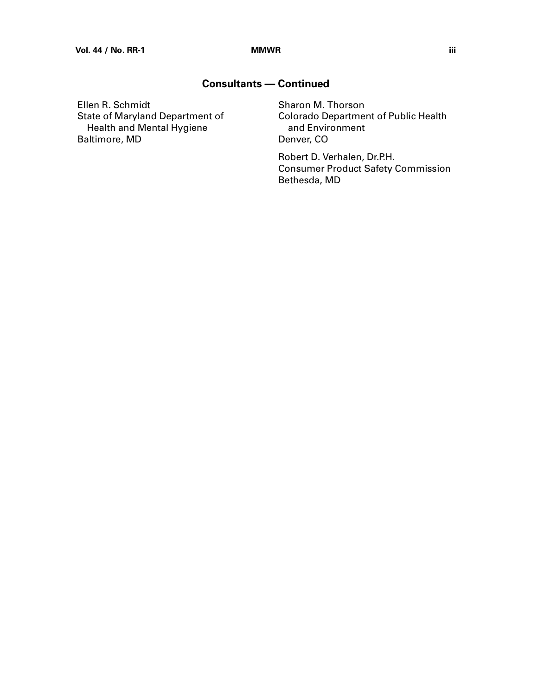# **Consultants — Continued**

Ellen R. Schmidt State of Maryland Department of Health and Mental Hygiene Baltimore, MD

Sharon M. Thorson Colorado Department of Public Health and Environment Denver, CO

Robert D. Verhalen, Dr.P.H. Consumer Product Safety Commission Bethesda, MD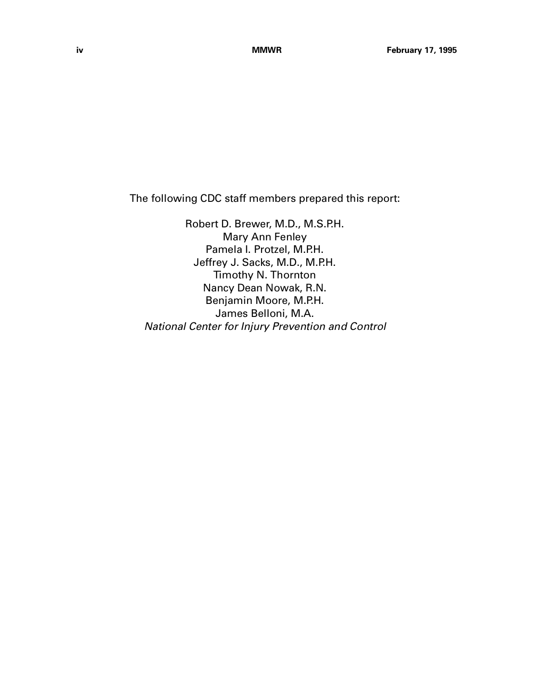The following CDC staff members prepared this report:

Robert D. Brewer, M.D., M.S.P.H. Mary Ann Fenley Pamela I. Protzel, M.P.H. Jeffrey J. Sacks, M.D., M.P.H. Timothy N. Thornton Nancy Dean Nowak, R.N. Benjamin Moore, M.P.H. James Belloni, M.A. National Center for Injury Prevention and Control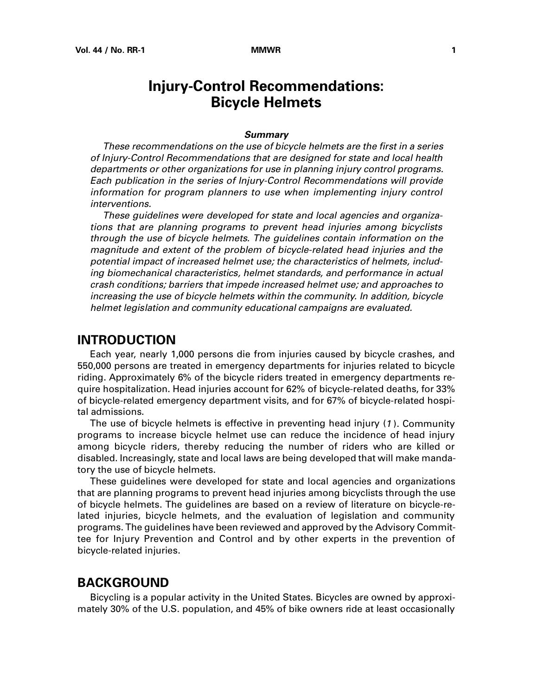# <span id="page-6-0"></span>**Injury-Control Recommendations: Bicycle Helmets**

#### **Summary**

These recommendations on the use of bicycle helmets are the first in a series of Injury-Control Recommendations that are designed for state and local health departments or other organizations for use in planning injury control programs. Each publication in the series of Injury-Control Recommendations will provide information for program planners to use when implementing injury control interventions.

These guidelines were developed for state and local agencies and organizations that are planning programs to prevent head injuries among bicyclists through the use of bicycle helmets. The guidelines contain information on the magnitude and extent of the problem of bicycle-related head injuries and the potential impact of increased helmet use; the characteristics of helmets, including biomechanical characteristics, helmet standards, and performance in actual crash conditions; barriers that impede increased helmet use; and approaches to increasing the use of bicycle helmets within the community. In addition, bicycle helmet legislation and community educational campaigns are evaluated.

# **INTRODUCTION**

Each year, nearly 1,000 persons die from injuries caused by bicycle crashes, and 550,000 persons are treated in emergency departments for injuries related to bicycle riding. Approximately 6% of the bicycle riders treated in emergency departments require hospitalization. Head injuries account for 62% of bicycle-related deaths, for 33% of bicycle-related emergency department visits, and for 67% of bicycle-related hospital admissions.

The use of bicycle helmets is effective in preventing head injury (1 ). Community programs to increase bicycle helmet use can reduce the incidence of head injury among bicycle riders, thereby reducing the number of riders who are killed or disabled. Increasingly, state and local laws are being developed that will make mandatory the use of bicycle helmets.

These guidelines were developed for state and local agencies and organizations that are planning programs to prevent head injuries among bicyclists through the use of bicycle helmets. The guidelines are based on a review of literature on bicycle-related injuries, bicycle helmets, and the evaluation of legislation and community programs. The guidelines have been reviewed and approved by the Advisory Committee for Injury Prevention and Control and by other experts in the prevention of bicycle-related injuries.

# **BACKGROUND**

Bicycling is a popular activity in the United States. Bicycles are owned by approximately 30% of the U.S. population, and 45% of bike owners ride at least occasionally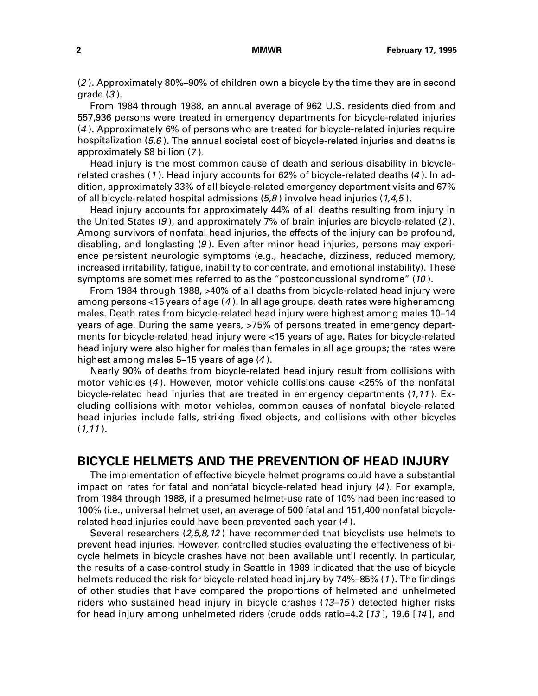<span id="page-7-0"></span>(2 ). Approximately 80%–90% of children own a bicycle by the time they are in second grade  $(3)$ .

From 1984 through 1988, an annual average of 962 U.S. residents died from and 557,936 persons were treated in emergency departments for bicycle-related injuries (4 ). Approximately 6% of persons who are treated for bicycle-related injuries require hospitalization  $(5,6)$ . The annual societal cost of bicycle-related injuries and deaths is approximately \$8 billion (7 ).

Head injury is the most common cause of death and serious disability in bicyclerelated crashes (1 ). Head injury accounts for 62% of bicycle-related deaths (4 ). In addition, approximately 33% of all bicycle-related emergency department visits and 67% of all bicycle-related hospital admissions (5,8) involve head injuries (1,4,5).

Head injury accounts for approximately 44% of all deaths resulting from injury in the United States (9 ), and approximately 7% of brain injuries are bicycle-related (2 ). Among survivors of nonfatal head injuries, the effects of the injury can be profound, disabling, and longlasting (9 ). Even after minor head injuries, persons may experience persistent neurologic symptoms (e.g., headache, dizziness, reduced memory, increased irritability, fatigue, inability to concentrate, and emotional instability). These symptoms are sometimes referred to as the "postconcussional syndrome" (10 ).

From 1984 through 1988, >40% of all deaths from bicycle-related head injury were among persons <15 years of age (4 ). In all age groups, death rates were higher among males. Death rates from bicycle-related head injury were highest among males 10–14 years of age. During the same years, >75% of persons treated in emergency departments for bicycle-related head injury were <15 years of age. Rates for bicycle-related head injury were also higher for males than females in all age groups; the rates were highest among males 5–15 years of age (4 ).

Nearly 90% of deaths from bicycle-related head injury result from collisions with motor vehicles (4 ). However, motor vehicle collisions cause <25% of the nonfatal bicycle-related head injuries that are treated in emergency departments (1,11). Excluding collisions with motor vehicles, common causes of nonfatal bicycle-related head injuries include falls, striking fixed objects, and collisions with other bicycles  $(1,11)$ .

# **BICYCLE HELMETS AND THE PREVENTION OF HEAD INJURY**

The implementation of effective bicycle helmet programs could have a substantial impact on rates for fatal and nonfatal bicycle-related head injury (4 ). For example, from 1984 through 1988, if a presumed helmet-use rate of 10% had been increased to 100% (i.e., universal helmet use), an average of 500 fatal and 151,400 nonfatal bicyclerelated head injuries could have been prevented each year (4 ).

Several researchers  $(2,5,8,12)$  have recommended that bicyclists use helmets to prevent head injuries. However, controlled studies evaluating the effectiveness of bicycle helmets in bicycle crashes have not been available until recently. In particular, the results of a case-control study in Seattle in 1989 indicated that the use of bicycle helmets reduced the risk for bicycle-related head injury by 74%–85% (1). The findings of other studies that have compared the proportions of helmeted and unhelmeted riders who sustained head injury in bicycle crashes (13–15 ) detected higher risks for head injury among unhelmeted riders (crude odds ratio=4.2 [13 ], 19.6 [14 ], and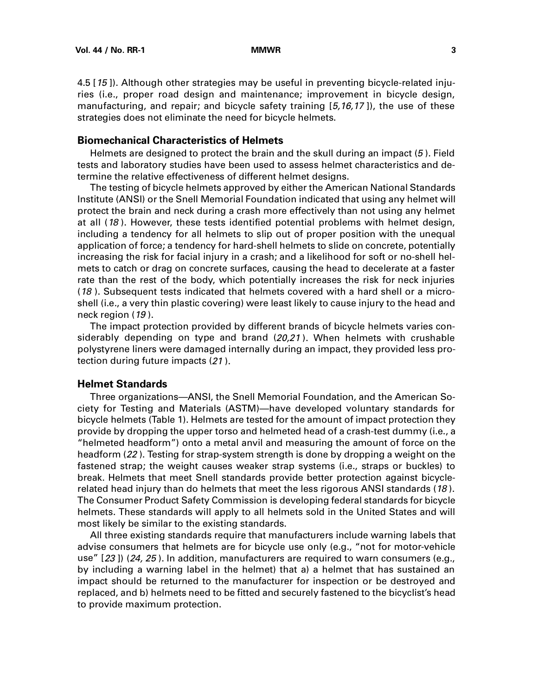4.5 [15 ]). Although other strategies may be useful in preventing bicycle-related injuries (i.e., proper road design and maintenance; improvement in bicycle design, manufacturing, and repair; and bicycle safety training [5,16,17 ]), the use of these strategies does not eliminate the need for bicycle helmets.

### **Biomechanical Characteristics of Helmets**

Helmets are designed to protect the brain and the skull during an impact (5 ). Field tests and laboratory studies have been used to assess helmet characteristics and determine the relative effectiveness of different helmet designs.

The testing of bicycle helmets approved by either the American National Standards Institute (ANSI) or the Snell Memorial Foundation indicated that using any helmet will protect the brain and neck during a crash more effectively than not using any helmet at all (18 ). However, these tests identified potential problems with helmet design, including a tendency for all helmets to slip out of proper position with the unequal application of force; a tendency for hard-shell helmets to slide on concrete, potentially increasing the risk for facial injury in a crash; and a likelihood for soft or no-shell helmets to catch or drag on concrete surfaces, causing the head to decelerate at a faster rate than the rest of the body, which potentially increases the risk for neck injuries (18 ). Subsequent tests indicated that helmets covered with a hard shell or a microshell (i.e., a very thin plastic covering) were least likely to cause injury to the head and neck region (19 ).

The impact protection provided by different brands of bicycle helmets varies considerably depending on type and brand  $(20,21)$ . When helmets with crushable polystyrene liners were damaged internally during an impact, they provided less protection during future impacts (21 ).

### **Helmet Standards**

Three organizations—ANSI, the Snell Memorial Foundation, and the American Society for Testing and Materials (ASTM)—have developed voluntary standards for bicycle helmets (Table 1). Helmets are tested for the amount of impact protection they provide by dropping the upper torso and helmeted head of a crash-test dummy (i.e., a "helmeted headform") onto a metal anvil and measuring the amount of force on the headform (22 ). Testing for strap-system strength is done by dropping a weight on the fastened strap; the weight causes weaker strap systems (i.e., straps or buckles) to break. Helmets that meet Snell standards provide better protection against bicyclerelated head injury than do helmets that meet the less rigorous ANSI standards (18). The Consumer Product Safety Commission is developing federal standards for bicycle helmets. These standards will apply to all helmets sold in the United States and will most likely be similar to the existing standards.

All three existing standards require that manufacturers include warning labels that advise consumers that helmets are for bicycle use only (e.g., "not for motor-vehicle use"  $[23]$ )  $(24, 25)$ . In addition, manufacturers are required to warn consumers (e.g., by including a warning label in the helmet) that a) a helmet that has sustained an impact should be returned to the manufacturer for inspection or be destroyed and replaced, and b) helmets need to be fitted and securely fastened to the bicyclist's head to provide maximum protection.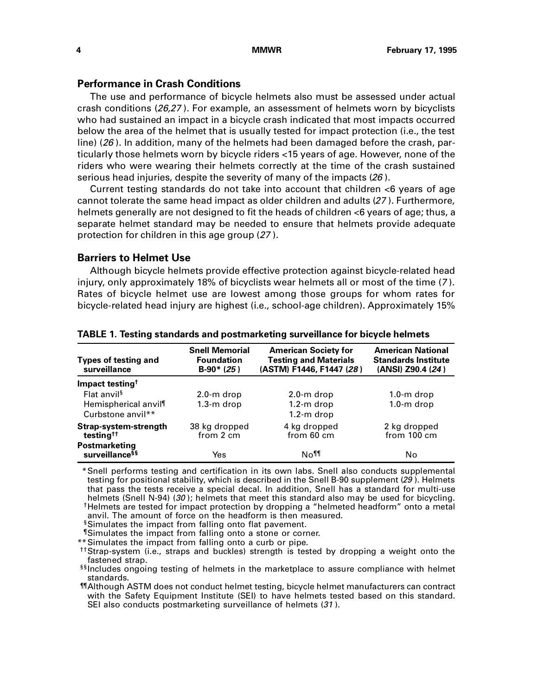### **Performance in Crash Conditions**

The use and performance of bicycle helmets also must be assessed under actual crash conditions (26,27 ). For example, an assessment of helmets worn by bicyclists who had sustained an impact in a bicycle crash indicated that most impacts occurred below the area of the helmet that is usually tested for impact protection (i.e., the test line)  $(26)$ . In addition, many of the helmets had been damaged before the crash, particularly those helmets worn by bicycle riders <15 years of age. However, none of the riders who were wearing their helmets correctly at the time of the crash sustained serious head injuries, despite the severity of many of the impacts (26).

Current testing standards do not take into account that children <6 years of age cannot tolerate the same head impact as older children and adults (27 ). Furthermore, helmets generally are not designed to fit the heads of children <6 years of age; thus, a separate helmet standard may be needed to ensure that helmets provide adequate protection for children in this age group (27 ).

#### **Barriers to Helmet Use**

Although bicycle helmets provide effective protection against bicycle-related head injury, only approximately 18% of bicyclists wear helmets all or most of the time (7 ). Rates of bicycle helmet use are lowest among those groups for whom rates for bicycle-related head injury are highest (i.e., school-age children). Approximately 15%

| Types of testing and<br>surveillance                              | <b>Snell Memorial</b><br><b>Foundation</b><br>$B-90*(25)$ | <b>American Society for</b><br><b>Testing and Materials</b><br>(ASTM) F1446, F1447 (28) | <b>American National</b><br><b>Standards Institute</b><br>(ANSI) Z90.4 (24) |
|-------------------------------------------------------------------|-----------------------------------------------------------|-----------------------------------------------------------------------------------------|-----------------------------------------------------------------------------|
| Impact testing <sup>†</sup>                                       |                                                           |                                                                                         |                                                                             |
| Flat anvil <sup>§</sup>                                           | $2.0 - m$ drop                                            | $2.0 - m$ drop                                                                          | $1.0 - m$ drop                                                              |
| Hemispherical anvil <sup>1</sup><br>Curbstone anvil**             | $1.3 - m$ drop                                            | $1.2$ -m drop<br>$1.2$ -m drop                                                          | $1.0 - m$ drop                                                              |
| Strap-system-strength<br>testing <sup><math>\dagger</math>†</sup> | 38 kg dropped<br>from 2 cm                                | 4 kg dropped<br>from 60 cm                                                              | 2 kg dropped<br>from 100 cm                                                 |
| Postmarketing<br>surveillance <sup>§§</sup>                       | Yes                                                       | No¶¶                                                                                    | No                                                                          |

**TABLE 1. Testing standards and postmarketing surveillance for bicycle helmets**

 \*Snell performs testing and certification in its own labs. Snell also conducts supplemental testing for positional stability, which is described in the Snell B-90 supplement (29 ). Helmets that pass the tests receive a special decal. In addition, Snell has a standard for multi-use helmets (Snell N-94) (30); helmets that meet this standard also may be used for bicycling. †Helmets are tested for impact protection by dropping a "helmeted headform" onto a metal

anvil. The amount of force on the headform is then measured. §Simulates the impact from falling onto flat pavement.

¶Simulates the impact from falling onto a stone or corner.

\*\*Simulates the impact from falling onto a curb or pipe.

††Strap-system (i.e., straps and buckles) strength is tested by dropping a weight onto the fastened strap.

§§Includes ongoing testing of helmets in the marketplace to assure compliance with helmet standards.

¶¶Although ASTM does not conduct helmet testing, bicycle helmet manufacturers can contract with the Safety Equipment Institute (SEI) to have helmets tested based on this standard. SEI also conducts postmarketing surveillance of helmets (31 ).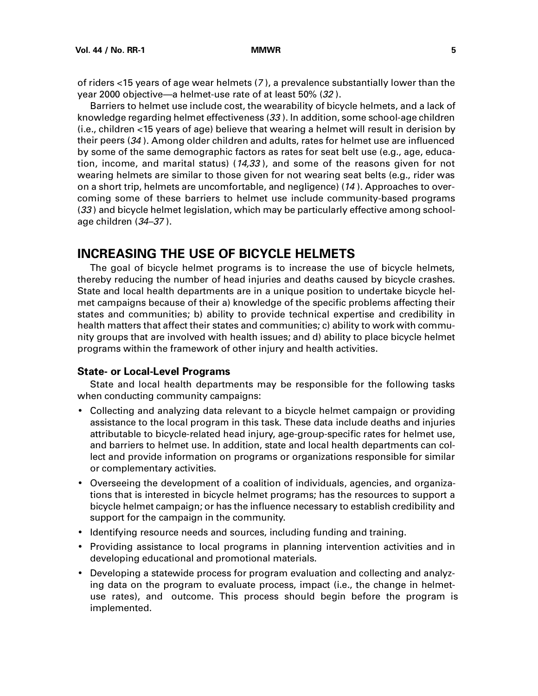<span id="page-10-0"></span>of riders <15 years of age wear helmets (7 ), a prevalence substantially lower than the year 2000 objective—a helmet-use rate of at least 50% (32 ).

Barriers to helmet use include cost, the wearability of bicycle helmets, and a lack of knowledge regarding helmet effectiveness (33 ). In addition, some school-age children (i.e., children <15 years of age) believe that wearing a helmet will result in derision by their peers (34 ). Among older children and adults, rates for helmet use are influenced by some of the same demographic factors as rates for seat belt use (e.g., age, education, income, and marital status) (14,33 ), and some of the reasons given for not wearing helmets are similar to those given for not wearing seat belts (e.g., rider was on a short trip, helmets are uncomfortable, and negligence) (14 ). Approaches to overcoming some of these barriers to helmet use include community-based programs (33 ) and bicycle helmet legislation, which may be particularly effective among schoolage children (34–37 ).

# **INCREASING THE USE OF BICYCLE HELMETS**

The goal of bicycle helmet programs is to increase the use of bicycle helmets, thereby reducing the number of head injuries and deaths caused by bicycle crashes. State and local health departments are in a unique position to undertake bicycle helmet campaigns because of their a) knowledge of the specific problems affecting their states and communities; b) ability to provide technical expertise and credibility in health matters that affect their states and communities; c) ability to work with community groups that are involved with health issues; and d) ability to place bicycle helmet programs within the framework of other injury and health activities.

### **State- or Local-Level Programs**

State and local health departments may be responsible for the following tasks when conducting community campaigns:

- Collecting and analyzing data relevant to a bicycle helmet campaign or providing assistance to the local program in this task. These data include deaths and injuries attributable to bicycle-related head injury, age-group-specific rates for helmet use, and barriers to helmet use. In addition, state and local health departments can collect and provide information on programs or organizations responsible for similar or complementary activities.
- Overseeing the development of a coalition of individuals, agencies, and organizations that is interested in bicycle helmet programs; has the resources to support a bicycle helmet campaign; or has the influence necessary to establish credibility and support for the campaign in the community.
- Identifying resource needs and sources, including funding and training.
- Providing assistance to local programs in planning intervention activities and in developing educational and promotional materials.
- Developing a statewide process for program evaluation and collecting and analyzing data on the program to evaluate process, impact (i.e., the change in helmetuse rates), and outcome. This process should begin before the program is implemented.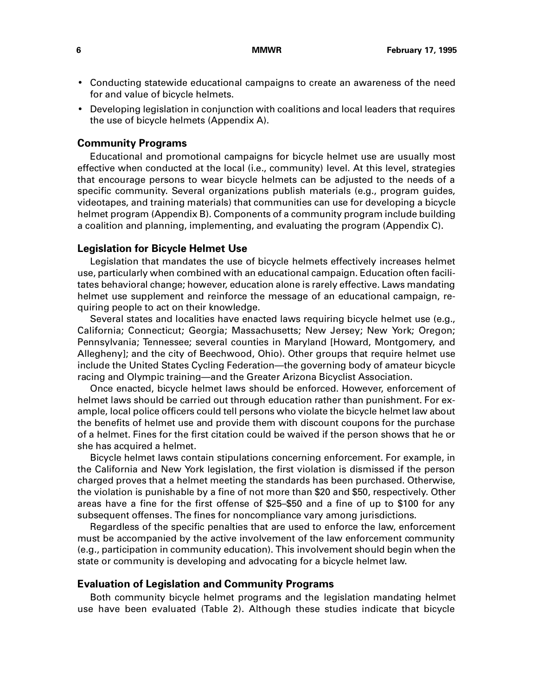- Conducting statewide educational campaigns to create an awareness of the need for and value of bicycle helmets.
- Developing legislation in conjunction with coalitions and local leaders that requires the use of bicycle helmets (Appendix A).

#### **Community Programs**

Educational and promotional campaigns for bicycle helmet use are usually most effective when conducted at the local (i.e., community) level. At this level, strategies that encourage persons to wear bicycle helmets can be adjusted to the needs of a specific community. Several organizations publish materials (e.g., program guides, videotapes, and training materials) that communities can use for developing a bicycle helmet program (Appendix B). Components of a community program include building a coalition and planning, implementing, and evaluating the program (Appendix C).

#### **Legislation for Bicycle Helmet Use**

Legislation that mandates the use of bicycle helmets effectively increases helmet use, particularly when combined with an educational campaign. Education often facilitates behavioral change; however, education alone is rarely effective. Laws mandating helmet use supplement and reinforce the message of an educational campaign, requiring people to act on their knowledge.

Several states and localities have enacted laws requiring bicycle helmet use (e.g., California; Connecticut; Georgia; Massachusetts; New Jersey; New York; Oregon; Pennsylvania; Tennessee; several counties in Maryland [Howard, Montgomery, and Allegheny]; and the city of Beechwood, Ohio). Other groups that require helmet use include the United States Cycling Federation—the governing body of amateur bicycle racing and Olympic training—and the Greater Arizona Bicyclist Association.

Once enacted, bicycle helmet laws should be enforced. However, enforcement of helmet laws should be carried out through education rather than punishment. For example, local police officers could tell persons who violate the bicycle helmet law about the benefits of helmet use and provide them with discount coupons for the purchase of a helmet. Fines for the first citation could be waived if the person shows that he or she has acquired a helmet.

Bicycle helmet laws contain stipulations concerning enforcement. For example, in the California and New York legislation, the first violation is dismissed if the person charged proves that a helmet meeting the standards has been purchased. Otherwise, the violation is punishable by a fine of not more than \$20 and \$50, respectively. Other areas have a fine for the first offense of \$25–\$50 and a fine of up to \$100 for any subsequent offenses. The fines for noncompliance vary among jurisdictions.

Regardless of the specific penalties that are used to enforce the law, enforcement must be accompanied by the active involvement of the law enforcement community (e.g., participation in community education). This involvement should begin when the state or community is developing and advocating for a bicycle helmet law.

#### **Evaluation of Legislation and Community Programs**

Both community bicycle helmet programs and the legislation mandating helmet use have been evaluated (Table 2). Although these studies indicate that bicycle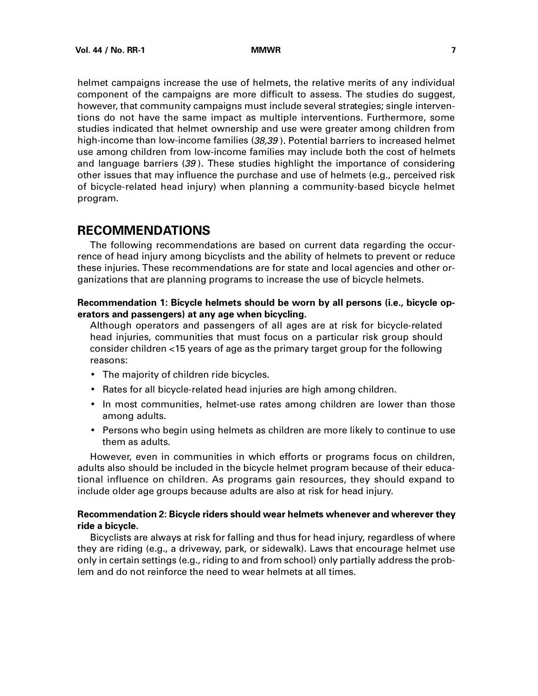<span id="page-12-0"></span>helmet campaigns increase the use of helmets, the relative merits of any individual component of the campaigns are more difficult to assess. The studies do suggest, however, that community campaigns must include several strategies; single interventions do not have the same impact as multiple interventions. Furthermore, some studies indicated that helmet ownership and use were greater among children from high-income than low-income families (38,39). Potential barriers to increased helmet use among children from low-income families may include both the cost of helmets and language barriers (39). These studies highlight the importance of considering other issues that may influence the purchase and use of helmets (e.g., perceived risk of bicycle-related head injury) when planning a community-based bicycle helmet program.

# **RECOMMENDATIONS**

The following recommendations are based on current data regarding the occurrence of head injury among bicyclists and the ability of helmets to prevent or reduce these injuries. These recommendations are for state and local agencies and other organizations that are planning programs to increase the use of bicycle helmets.

### **Recommendation 1: Bicycle helmets should be worn by all persons (i.e., bicycle operators and passengers) at any age when bicycling.**

Although operators and passengers of all ages are at risk for bicycle-related head injuries, communities that must focus on a particular risk group should consider children <15 years of age as the primary target group for the following reasons:

- The majority of children ride bicycles.
- Rates for all bicycle-related head injuries are high among children.
- In most communities, helmet-use rates among children are lower than those among adults.
- Persons who begin using helmets as children are more likely to continue to use them as adults.

However, even in communities in which efforts or programs focus on children, adults also should be included in the bicycle helmet program because of their educational influence on children. As programs gain resources, they should expand to include older age groups because adults are also at risk for head injury.

### **Recommendation 2: Bicycle riders should wear helmets whenever and wherever they ride a bicycle.**

Bicyclists are always at risk for falling and thus for head injury, regardless of where they are riding (e.g., a driveway, park, or sidewalk). Laws that encourage helmet use only in certain settings (e.g., riding to and from school) only partially address the problem and do not reinforce the need to wear helmets at all times.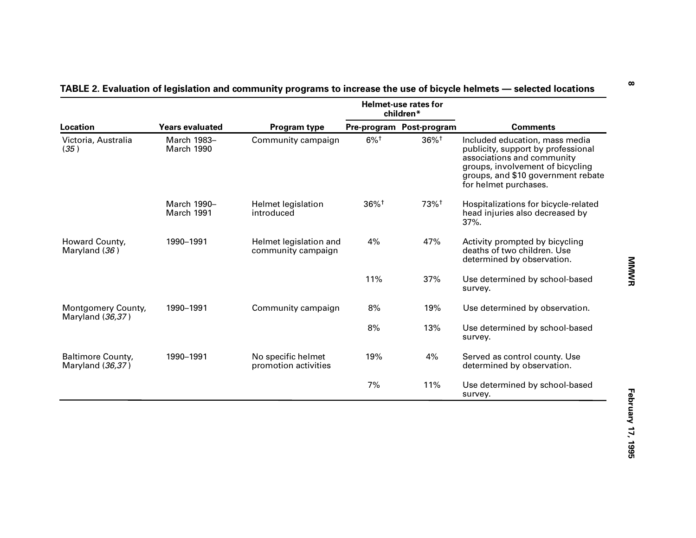|                                              | <b>Years evaluated</b>    | Program type                                 | <b>Helmet-use rates for</b><br>children* |                          |                                                                                                                                                                                                       |
|----------------------------------------------|---------------------------|----------------------------------------------|------------------------------------------|--------------------------|-------------------------------------------------------------------------------------------------------------------------------------------------------------------------------------------------------|
| Location                                     |                           |                                              |                                          | Pre-program Post-program | <b>Comments</b>                                                                                                                                                                                       |
| Victoria, Australia<br>(35)                  | March 1983-<br>March 1990 | Community campaign                           | $6\%$ <sup>†</sup>                       | $36\%$ <sup>†</sup>      | Included education, mass media<br>publicity, support by professional<br>associations and community<br>groups, involvement of bicycling<br>groups, and \$10 government rebate<br>for helmet purchases. |
|                                              | March 1990-<br>March 1991 | Helmet legislation<br>introduced             | $36\%$ <sup>†</sup>                      | 73%+                     | Hospitalizations for bicycle-related<br>head injuries also decreased by<br>37%.                                                                                                                       |
| Howard County,<br>Maryland (36)              | 1990-1991                 | Helmet legislation and<br>community campaign | 4%                                       | 47%                      | Activity prompted by bicycling<br>deaths of two children. Use<br>determined by observation.                                                                                                           |
|                                              |                           |                                              | 11%                                      | 37%                      | Use determined by school-based<br>survey.                                                                                                                                                             |
| Montgomery County,<br>Maryland (36,37)       | 1990-1991                 | Community campaign                           | 8%                                       | 19%                      | Use determined by observation.                                                                                                                                                                        |
|                                              |                           |                                              | 8%                                       | 13%                      | Use determined by school-based<br>survey.                                                                                                                                                             |
| <b>Baltimore County,</b><br>Maryland (36,37) | 1990-1991                 | No specific helmet<br>promotion activities   | 19%                                      | 4%                       | Served as control county. Use<br>determined by observation.                                                                                                                                           |
|                                              |                           |                                              | 7%                                       | 11%                      | Use determined by school-based<br>survey.                                                                                                                                                             |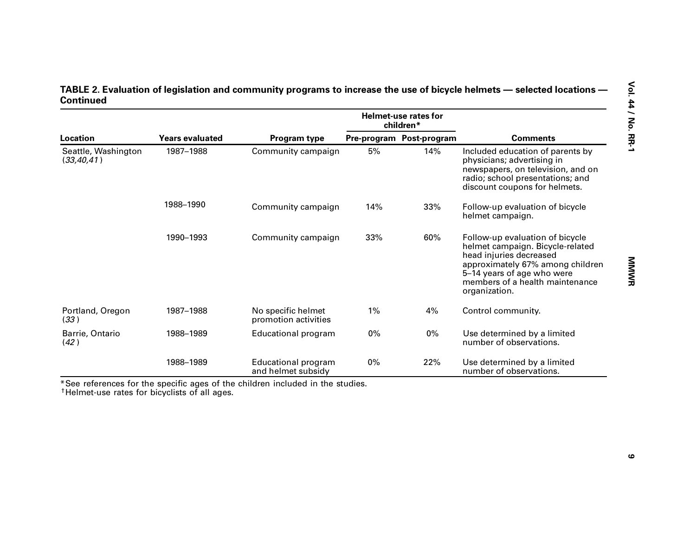| TABLE 2. Evaluation of legislation and community programs to increase the use of bicycle helmets — selected locations - |  |
|-------------------------------------------------------------------------------------------------------------------------|--|
| <b>Continued</b>                                                                                                        |  |

|                                     | <b>Years evaluated</b> | Program type                                     | <b>Helmet-use rates for</b><br>children* |                          |                                                                                                                                                                                                                      |
|-------------------------------------|------------------------|--------------------------------------------------|------------------------------------------|--------------------------|----------------------------------------------------------------------------------------------------------------------------------------------------------------------------------------------------------------------|
| <b>Location</b>                     |                        |                                                  |                                          | Pre-program Post-program | <b>Comments</b>                                                                                                                                                                                                      |
| Seattle, Washington<br>(33, 40, 41) | 1987-1988              | Community campaign                               | 5%                                       | 14%                      | Included education of parents by<br>physicians; advertising in<br>newspapers, on television, and on<br>radio; school presentations; and<br>discount coupons for helmets.                                             |
|                                     | 1988-1990              | Community campaign                               | 14%                                      | 33%                      | Follow-up evaluation of bicycle<br>helmet campaign.                                                                                                                                                                  |
|                                     | 1990-1993              | Community campaign                               | 33%                                      | 60%                      | Follow-up evaluation of bicycle<br>helmet campaign. Bicycle-related<br>head injuries decreased<br>approximately 67% among children<br>5-14 years of age who were<br>members of a health maintenance<br>organization. |
| Portland, Oregon<br>(33)            | 1987-1988              | No specific helmet<br>promotion activities       | $1\%$                                    | 4%                       | Control community.                                                                                                                                                                                                   |
| Barrie, Ontario<br>(42)             | 1988-1989              | <b>Educational program</b>                       | $0\%$                                    | $0\%$                    | Use determined by a limited<br>number of observations.                                                                                                                                                               |
|                                     | 1988-1989              | <b>Educational program</b><br>and helmet subsidy | $0\%$                                    | 22%                      | Use determined by a limited<br>number of observations.                                                                                                                                                               |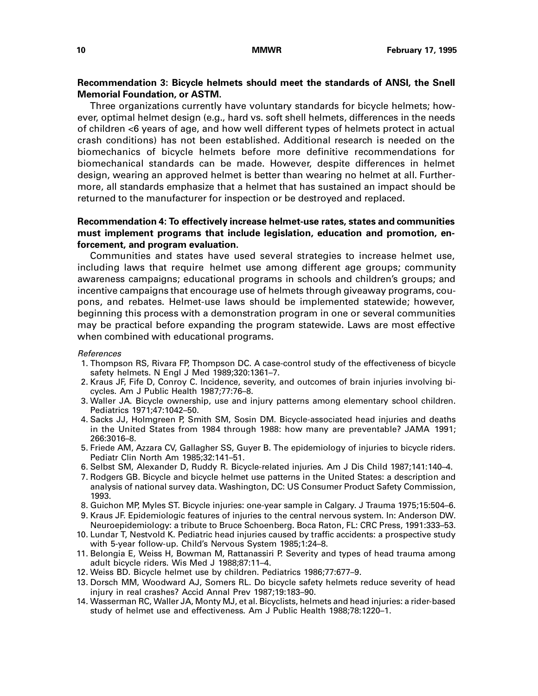#### **Recommendation 3: Bicycle helmets should meet the standards of ANSI, the Snell Memorial Foundation, or ASTM.**

Three organizations currently have voluntary standards for bicycle helmets; however, optimal helmet design (e.g., hard vs. soft shell helmets, differences in the needs of children <6 years of age, and how well different types of helmets protect in actual crash conditions) has not been established. Additional research is needed on the biomechanics of bicycle helmets before more definitive recommendations for biomechanical standards can be made. However, despite differences in helmet design, wearing an approved helmet is better than wearing no helmet at all. Furthermore, all standards emphasize that a helmet that has sustained an impact should be returned to the manufacturer for inspection or be destroyed and replaced.

### **Recommendation 4: To effectively increase helmet-use rates, states and communities must implement programs that include legislation, education and promotion, enforcement, and program evaluation.**

Communities and states have used several strategies to increase helmet use, including laws that require helmet use among different age groups; community awareness campaigns; educational programs in schools and children's groups; and incentive campaigns that encourage use of helmets through giveaway programs, coupons, and rebates. Helmet-use laws should be implemented statewide; however, beginning this process with a demonstration program in one or several communities may be practical before expanding the program statewide. Laws are most effective when combined with educational programs.

#### References

- 1. Thompson RS, Rivara FP, Thompson DC. A case-control study of the effectiveness of bicycle safety helmets. N Engl J Med 1989;320:1361–7.
- 2. Kraus JF, Fife D, Conroy C. Incidence, severity, and outcomes of brain injuries involving bicycles. Am J Public Health 1987;77:76–8.
- 3. Waller JA. Bicycle ownership, use and injury patterns among elementary school children. Pediatrics 1971;47:1042–50.
- 4. Sacks JJ, Holmgreen P, Smith SM, Sosin DM. Bicycle-associated head injuries and deaths in the United States from 1984 through 1988: how many are preventable? JAMA 1991; 266:3016–8.
- 5. Friede AM, Azzara CV, Gallagher SS, Guyer B. The epidemiology of injuries to bicycle riders. Pediatr Clin North Am 1985;32:141–51.
- 6. Selbst SM, Alexander D, Ruddy R. Bicycle-related injuries. Am J Dis Child 1987;141:140–4.
- 7. Rodgers GB. Bicycle and bicycle helmet use patterns in the United States: a description and analysis of national survey data. Washington, DC: US Consumer Product Safety Commission, 1993.
- 8. Guichon MP, Myles ST. Bicycle injuries: one-year sample in Calgary. J Trauma 1975;15:504–6.
- 9. Kraus JF. Epidemiologic features of injuries to the central nervous system. In: Anderson DW. Neuroepidemiology: a tribute to Bruce Schoenberg. Boca Raton, FL: CRC Press, 1991:333–53.
- 10. Lundar T, Nestvold K. Pediatric head injuries caused by traffic accidents: a prospective study with 5-year follow-up. Child's Nervous System 1985;1:24–8.
- 11. Belongia E, Weiss H, Bowman M, Rattanassiri P. Severity and types of head trauma among adult bicycle riders. Wis Med J 1988;87:11–4.
- 12. Weiss BD. Bicycle helmet use by children. Pediatrics 1986;77:677–9.
- 13. Dorsch MM, Woodward AJ, Somers RL. Do bicycle safety helmets reduce severity of head injury in real crashes? Accid Annal Prev 1987;19:183–90.
- 14. Wasserman RC, Waller JA, Monty MJ, et al. Bicyclists, helmets and head injuries: a rider-based study of helmet use and effectiveness. Am J Public Health 1988;78:1220–1.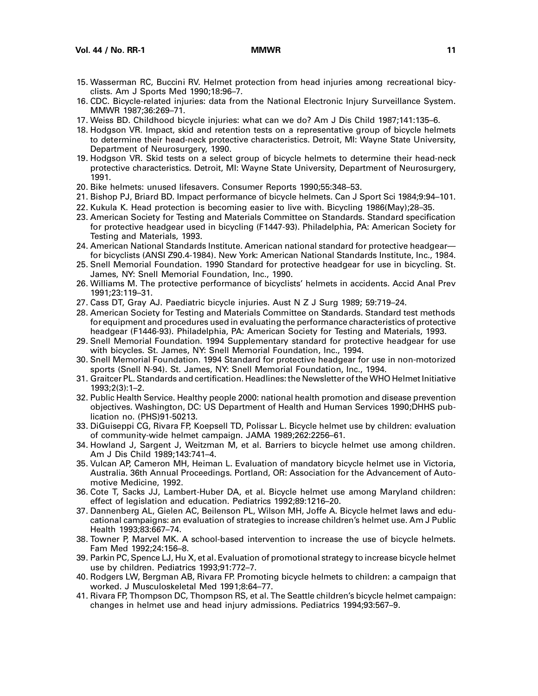- 15. Wasserman RC, Buccini RV. Helmet protection from head injuries among recreational bicyclists. Am J Sports Med 1990;18:96–7.
- 16. CDC. Bicycle-related injuries: data from the National Electronic Injury Surveillance System. MMWR 1987;36:269–71.
- 17. Weiss BD. Childhood bicycle injuries: what can we do? Am J Dis Child 1987;141:135–6.
- 18. Hodgson VR. Impact, skid and retention tests on a representative group of bicycle helmets to determine their head-neck protective characteristics. Detroit, MI: Wayne State University, Department of Neurosurgery, 1990.
- 19. Hodgson VR. Skid tests on a select group of bicycle helmets to determine their head-neck protective characteristics. Detroit, MI: Wayne State University, Department of Neurosurgery, 1991.
- 20. Bike helmets: unused lifesavers. Consumer Reports 1990;55:348–53.
- 21. Bishop PJ, Briard BD. Impact performance of bicycle helmets. Can J Sport Sci 1984;9:94–101.
- 22. Kukula K. Head protection is becoming easier to live with. Bicycling 1986(May);28–35.
- 23. American Society for Testing and Materials Committee on Standards. Standard specification for protective headgear used in bicycling (F1447-93). Philadelphia, PA: American Society for Testing and Materials, 1993.
- 24. American National Standards Institute. American national standard for protective headgear for bicyclists (ANSI Z90.4-1984). New York: American National Standards Institute, Inc., 1984.
- 25. Snell Memorial Foundation. 1990 Standard for protective headgear for use in bicycling. St. James, NY: Snell Memorial Foundation, Inc., 1990.
- 26. Williams M. The protective performance of bicyclists' helmets in accidents. Accid Anal Prev 1991;23:119–31.
- 27. Cass DT, Gray AJ. Paediatric bicycle injuries. Aust N Z J Surg 1989; 59:719–24.
- 28. American Society for Testing and Materials Committee on Standards. Standard test methods for equipment and procedures used in evaluating the performance characteristics of protective headgear (F1446-93). Philadelphia, PA: American Society for Testing and Materials, 1993.
- 29. Snell Memorial Foundation. 1994 Supplementary standard for protective headgear for use with bicycles. St. James, NY: Snell Memorial Foundation, Inc., 1994.
- 30. Snell Memorial Foundation. 1994 Standard for protective headgear for use in non-motorized sports (Snell N-94). St. James, NY: Snell Memorial Foundation, Inc., 1994.
- 31. Graitcer PL. Standards and certification. Headlines: the Newsletter of the WHO Helmet Initiative 1993;2(3):1–2.
- 32. Public Health Service. Healthy people 2000: national health promotion and disease prevention objectives. Washington, DC: US Department of Health and Human Services 1990;DHHS publication no. (PHS)91-50213.
- 33. DiGuiseppi CG, Rivara FP, Koepsell TD, Polissar L. Bicycle helmet use by children: evaluation of community-wide helmet campaign. JAMA 1989;262:2256–61.
- 34. Howland J, Sargent J, Weitzman M, et al. Barriers to bicycle helmet use among children. Am J Dis Child 1989;143:741–4.
- 35. Vulcan AP, Cameron MH, Heiman L. Evaluation of mandatory bicycle helmet use in Victoria, Australia. 36th Annual Proceedings. Portland, OR: Association for the Advancement of Automotive Medicine, 1992.
- 36. Cote T, Sacks JJ, Lambert-Huber DA, et al. Bicycle helmet use among Maryland children: effect of legislation and education. Pediatrics 1992;89:1216–20.
- 37. Dannenberg AL, Gielen AC, Beilenson PL, Wilson MH, Joffe A. Bicycle helmet laws and educational campaigns: an evaluation of strategies to increase children's helmet use. Am J Public Health 1993;83:667–74.
- 38. Towner P, Marvel MK. A school-based intervention to increase the use of bicycle helmets. Fam Med 1992;24:156–8.
- 39. Parkin PC, Spence LJ, Hu X, et al. Evaluation of promotional strategy to increase bicycle helmet use by children. Pediatrics 1993;91:772–7.
- 40. Rodgers LW, Bergman AB, Rivara FP. Promoting bicycle helmets to children: a campaign that worked. J Musculoskeletal Med 1991;8:64–77.
- 41. Rivara FP, Thompson DC, Thompson RS, et al. The Seattle children's bicycle helmet campaign: changes in helmet use and head injury admissions. Pediatrics 1994;93:567–9.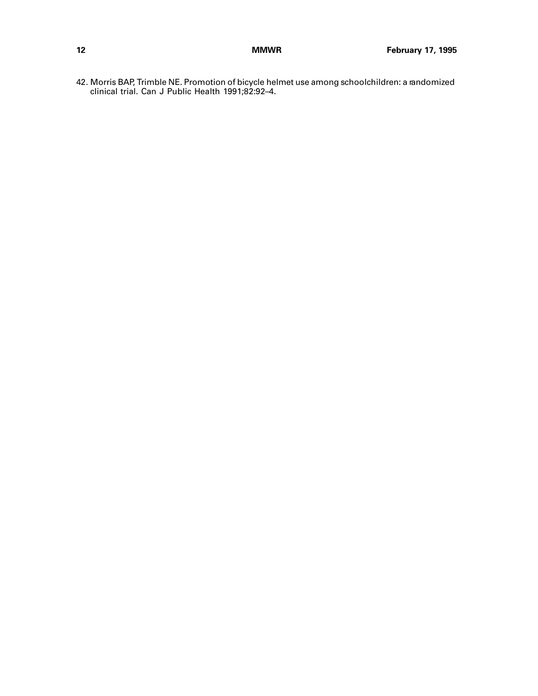42. Morris BAP, Trimble NE. Promotion of bicycle helmet use among schoolchildren: a randomized clinical trial. Can J Public Health 1991;82:92–4.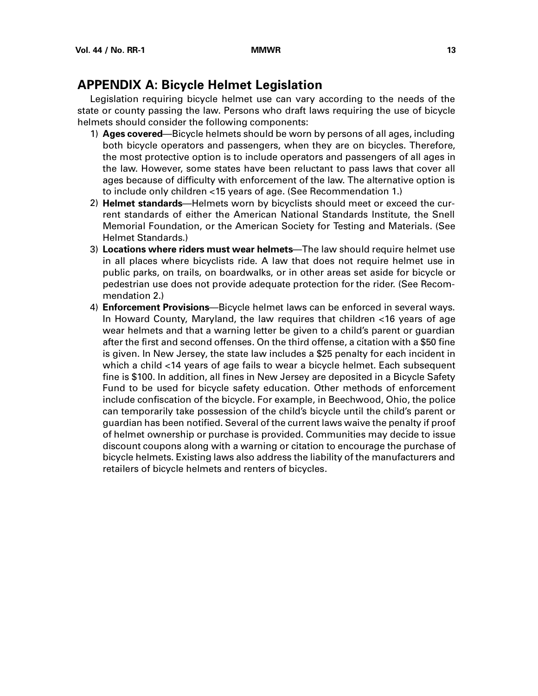# <span id="page-18-0"></span>**APPENDIX A: Bicycle Helmet Legislation**

Legislation requiring bicycle helmet use can vary according to the needs of the state or county passing the law. Persons who draft laws requiring the use of bicycle helmets should consider the following components:

- 1) **Ages covered**—Bicycle helmets should be worn by persons of all ages, including both bicycle operators and passengers, when they are on bicycles. Therefore, the most protective option is to include operators and passengers of all ages in the law. However, some states have been reluctant to pass laws that cover all ages because of difficulty with enforcement of the law. The alternative option is to include only children <15 years of age. (See Recommendation 1.)
- 2) **Helmet standards**—Helmets worn by bicyclists should meet or exceed the current standards of either the American National Standards Institute, the Snell Memorial Foundation, or the American Society for Testing and Materials. (See Helmet Standards.)
- 3) **Locations where riders must wear helmets**—The law should require helmet use in all places where bicyclists ride. A law that does not require helmet use in public parks, on trails, on boardwalks, or in other areas set aside for bicycle or pedestrian use does not provide adequate protection for the rider. (See Recommendation 2.)
- 4) **Enforcement Provisions**—Bicycle helmet laws can be enforced in several ways. In Howard County, Maryland, the law requires that children <16 years of age wear helmets and that a warning letter be given to a child's parent or guardian after the first and second offenses. On the third offense, a citation with a \$50 fine is given. In New Jersey, the state law includes a \$25 penalty for each incident in which a child <14 years of age fails to wear a bicycle helmet. Each subsequent fine is \$100. In addition, all fines in New Jersey are deposited in a Bicycle Safety Fund to be used for bicycle safety education. Other methods of enforcement include confiscation of the bicycle. For example, in Beechwood, Ohio, the police can temporarily take possession of the child's bicycle until the child's parent or guardian has been notified. Several of the current laws waive the penalty if proof of helmet ownership or purchase is provided. Communities may decide to issue discount coupons along with a warning or citation to encourage the purchase of bicycle helmets. Existing laws also address the liability of the manufacturers and retailers of bicycle helmets and renters of bicycles.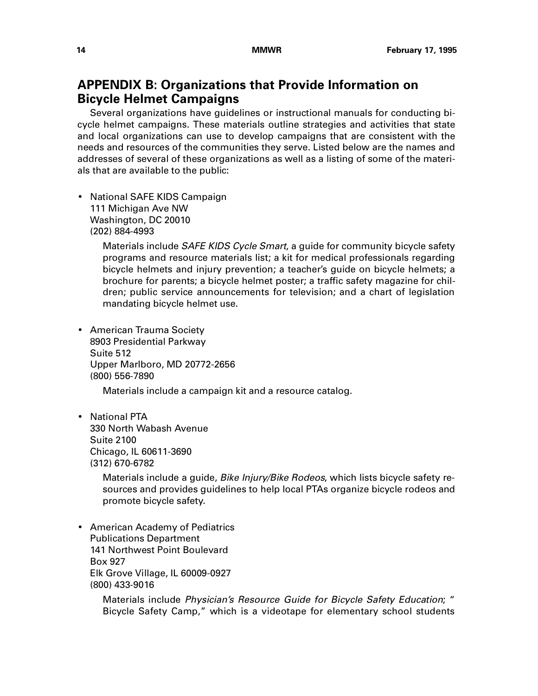# <span id="page-19-0"></span>**APPENDIX B: Organizations that Provide Information on Bicycle Helmet Campaigns**

Several organizations have guidelines or instructional manuals for conducting bicycle helmet campaigns. These materials outline strategies and activities that state and local organizations can use to develop campaigns that are consistent with the needs and resources of the communities they serve. Listed below are the names and addresses of several of these organizations as well as a listing of some of the materials that are available to the public:

• National SAFE KIDS Campaign 111 Michigan Ave NW Washington, DC 20010 (202) 884-4993

> Materials include SAFE KIDS Cycle Smart, a guide for community bicycle safety programs and resource materials list; a kit for medical professionals regarding bicycle helmets and injury prevention; a teacher's guide on bicycle helmets; a brochure for parents; a bicycle helmet poster; a traffic safety magazine for children; public service announcements for television; and a chart of legislation mandating bicycle helmet use.

• American Trauma Society 8903 Presidential Parkway Suite 512 Upper Marlboro, MD 20772-2656 (800) 556-7890

Materials include a campaign kit and a resource catalog.

• National PTA 330 North Wabash Avenue Suite 2100 Chicago, IL 60611-3690 (312) 670-6782

> Materials include a guide, Bike Injury/Bike Rodeos, which lists bicycle safety resources and provides guidelines to help local PTAs organize bicycle rodeos and promote bicycle safety.

• American Academy of Pediatrics Publications Department 141 Northwest Point Boulevard Box 927 Elk Grove Village, IL 60009-0927 (800) 433-9016

> Materials include Physician's Resource Guide for Bicycle Safety Education; " Bicycle Safety Camp," which is a videotape for elementary school students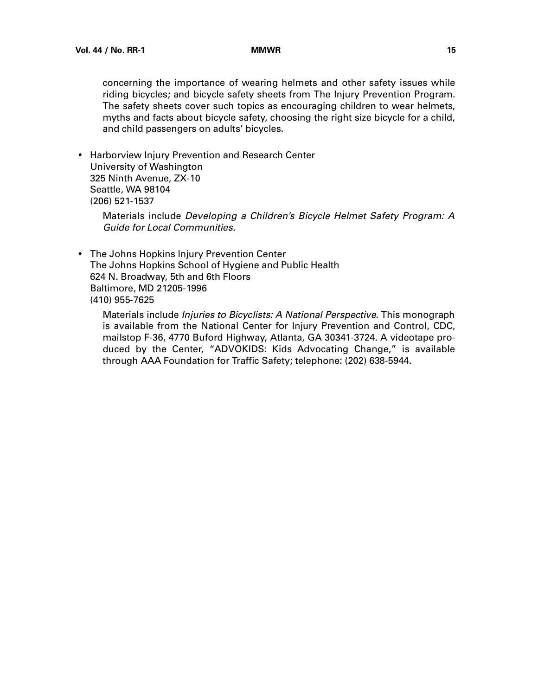concerning the importance of wearing helmets and other safety issues while riding bicycles; and bicycle safety sheets from The Injury Prevention Program. The safety sheets cover such topics as encouraging children to wear helmets, myths and facts about bicycle safety, choosing the right size bicycle for a child, and child passengers on adults' bicycles.

• Harborview Injury Prevention and Research Center University of Washington 325 Ninth Avenue, ZX-10 Seattle, WA 98104 (206) 521-1537

> Materials include Developing a Children's Bicycle Helmet Safety Program: A Guide for Local Communities.

• The Johns Hopkins Injury Prevention Center The Johns Hopkins School of Hygiene and Public Health 624 N. Broadway, 5th and 6th Floors Baltimore, MD 21205-1996 (410) 955-7625

Materials include Injuries to Bicyclists: A National Perspective. This monograph is available from the National Center for Injury Prevention and Control, CDC, mailstop F-36, 4770 Buford Highway, Atlanta, GA 30341-3724. A videotape produced by the Center, "ADVOKIDS: Kids Advocating Change," is available through AAA Foundation for Traffic Safety; telephone: (202) 638-5944.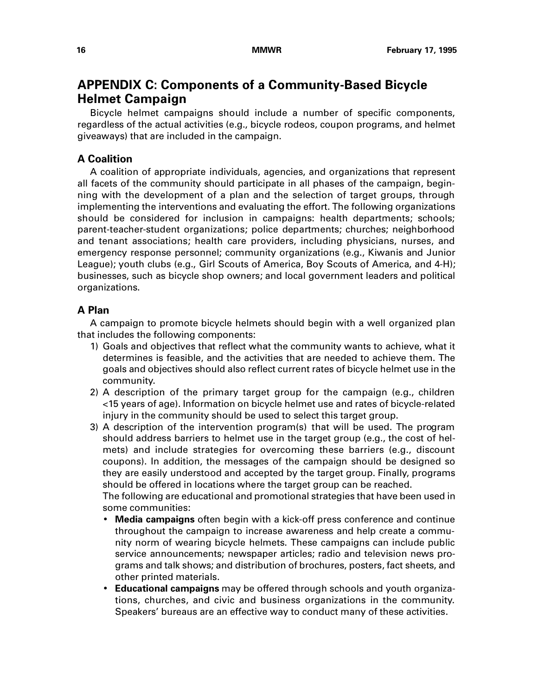# <span id="page-21-0"></span>**APPENDIX C: Components of a Community-Based Bicycle Helmet Campaign**

Bicycle helmet campaigns should include a number of specific components, regardless of the actual activities (e.g., bicycle rodeos, coupon programs, and helmet giveaways) that are included in the campaign.

## **A Coalition**

A coalition of appropriate individuals, agencies, and organizations that represent all facets of the community should participate in all phases of the campaign, beginning with the development of a plan and the selection of target groups, through implementing the interventions and evaluating the effort. The following organizations should be considered for inclusion in campaigns: health departments; schools; parent-teacher-student organizations; police departments; churches; neighborhood and tenant associations; health care providers, including physicians, nurses, and emergency response personnel; community organizations (e.g., Kiwanis and Junior League); youth clubs (e.g., Girl Scouts of America, Boy Scouts of America, and 4-H); businesses, such as bicycle shop owners; and local government leaders and political organizations.

### **A Plan**

A campaign to promote bicycle helmets should begin with a well organized plan that includes the following components:

- 1) Goals and objectives that reflect what the community wants to achieve, what it determines is feasible, and the activities that are needed to achieve them. The goals and objectives should also reflect current rates of bicycle helmet use in the community.
- 2) A description of the primary target group for the campaign (e.g., children <15 years of age). Information on bicycle helmet use and rates of bicycle-related injury in the community should be used to select this target group.
- 3) A description of the intervention program(s) that will be used. The program should address barriers to helmet use in the target group (e.g., the cost of helmets) and include strategies for overcoming these barriers (e.g., discount coupons). In addition, the messages of the campaign should be designed so they are easily understood and accepted by the target group. Finally, programs should be offered in locations where the target group can be reached.

The following are educational and promotional strategies that have been used in some communities:

- **Media campaigns** often begin with a kick-off press conference and continue throughout the campaign to increase awareness and help create a community norm of wearing bicycle helmets. These campaigns can include public service announcements; newspaper articles; radio and television news programs and talk shows; and distribution of brochures, posters, fact sheets, and other printed materials.
- **Educational campaigns** may be offered through schools and youth organizations, churches, and civic and business organizations in the community. Speakers' bureaus are an effective way to conduct many of these activities.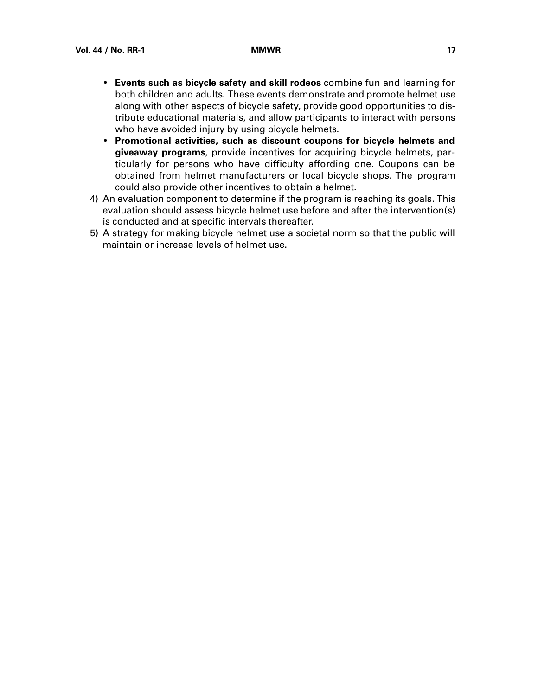- **Events such as bicycle safety and skill rodeos** combine fun and learning for both children and adults. These events demonstrate and promote helmet use along with other aspects of bicycle safety, provide good opportunities to distribute educational materials, and allow participants to interact with persons who have avoided injury by using bicycle helmets.
- **Promotional activities, such as discount coupons for bicycle helmets and giveaway programs**, provide incentives for acquiring bicycle helmets, particularly for persons who have difficulty affording one. Coupons can be obtained from helmet manufacturers or local bicycle shops. The program could also provide other incentives to obtain a helmet.
- 4) An evaluation component to determine if the program is reaching its goals. This evaluation should assess bicycle helmet use before and after the intervention(s) is conducted and at specific intervals thereafter.
- 5) A strategy for making bicycle helmet use a societal norm so that the public will maintain or increase levels of helmet use.